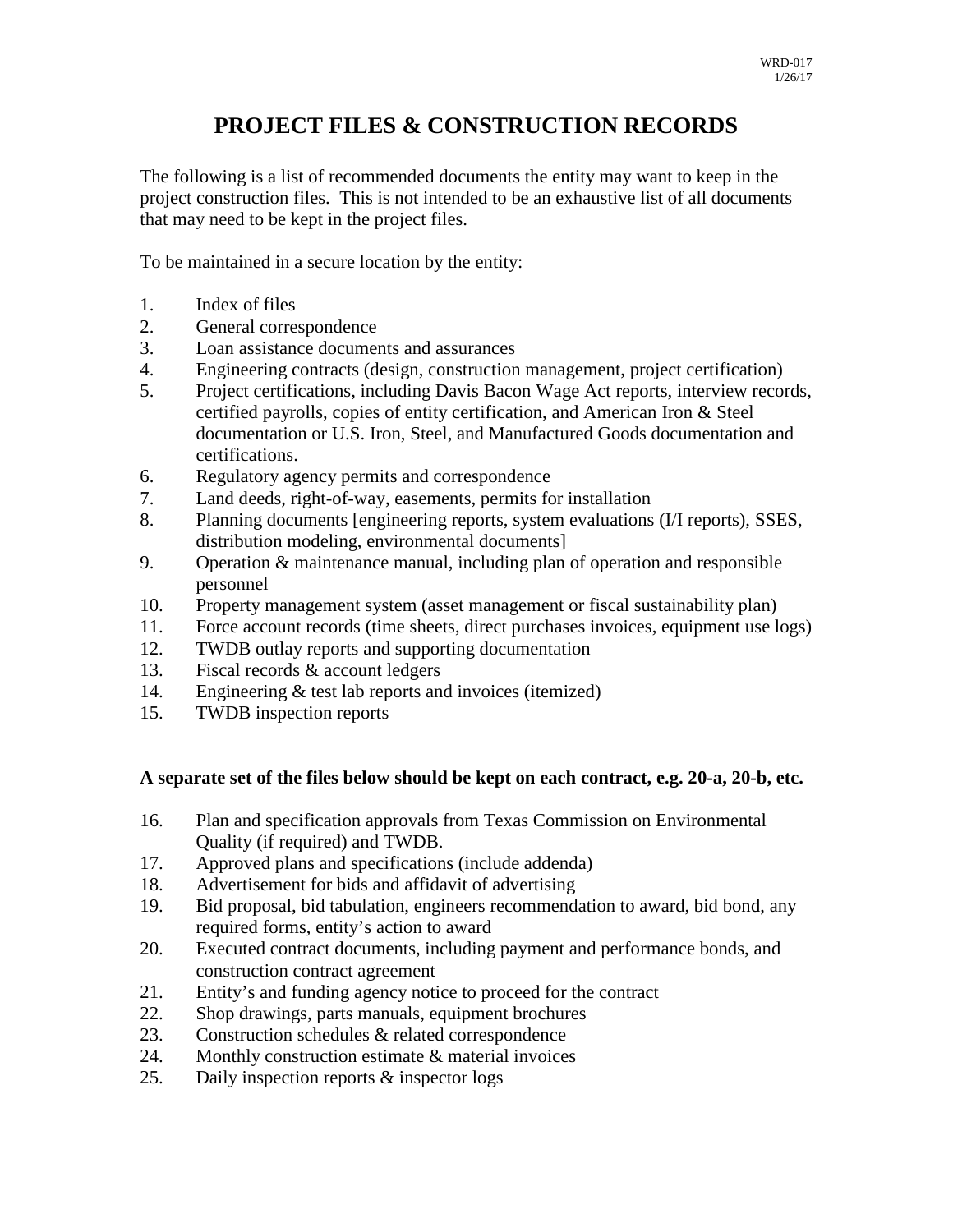## **PROJECT FILES & CONSTRUCTION RECORDS**

The following is a list of recommended documents the entity may want to keep in the project construction files. This is not intended to be an exhaustive list of all documents that may need to be kept in the project files.

To be maintained in a secure location by the entity:

- 1. Index of files
- 2. General correspondence
- 3. Loan assistance documents and assurances
- 4. Engineering contracts (design, construction management, project certification)
- 5. Project certifications, including Davis Bacon Wage Act reports, interview records, certified payrolls, copies of entity certification, and American Iron & Steel documentation or U.S. Iron, Steel, and Manufactured Goods documentation and certifications.
- 6. Regulatory agency permits and correspondence
- 7. Land deeds, right-of-way, easements, permits for installation
- 8. Planning documents [engineering reports, system evaluations (I/I reports), SSES, distribution modeling, environmental documents]
- 9. Operation & maintenance manual, including plan of operation and responsible personnel
- 10. Property management system (asset management or fiscal sustainability plan)
- 11. Force account records (time sheets, direct purchases invoices, equipment use logs)
- 12. TWDB outlay reports and supporting documentation
- 13. Fiscal records & account ledgers
- 14. Engineering & test lab reports and invoices (itemized)
- 15. TWDB inspection reports

## **A separate set of the files below should be kept on each contract, e.g. 20-a, 20-b, etc.**

- 16. Plan and specification approvals from Texas Commission on Environmental Quality (if required) and TWDB.
- 17. Approved plans and specifications (include addenda)
- 18. Advertisement for bids and affidavit of advertising
- 19. Bid proposal, bid tabulation, engineers recommendation to award, bid bond, any required forms, entity's action to award
- 20. Executed contract documents, including payment and performance bonds, and construction contract agreement
- 21. Entity's and funding agency notice to proceed for the contract
- 22. Shop drawings, parts manuals, equipment brochures
- 23. Construction schedules & related correspondence
- 24. Monthly construction estimate & material invoices
- 25. Daily inspection reports & inspector logs